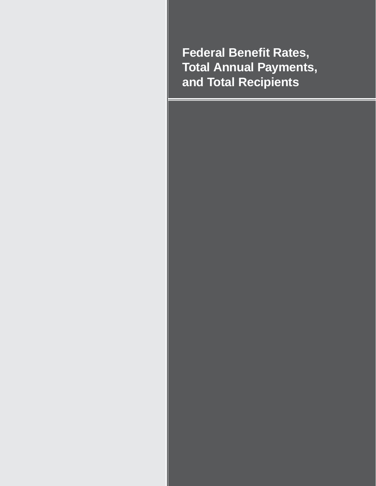**Federal Benefit Rates, Total Annual Payments, and Total Recipients**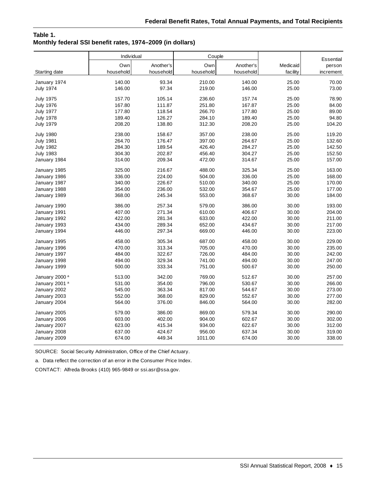# **Table 1. Monthly federal SSI benefit rates, 1974–2009 (in dollars)**

|                           |           | Individual<br>Couple |           |           |          | <b>Essential</b> |
|---------------------------|-----------|----------------------|-----------|-----------|----------|------------------|
|                           | Own       | Another's            | Own       | Another's | Medicaid | person           |
| Starting date             | household | household            | household | household | facility | increment        |
| January 1974              | 140.00    | 93.34                | 210.00    | 140.00    | 25.00    | 70.00            |
| <b>July 1974</b>          | 146.00    | 97.34                | 219.00    | 146.00    | 25.00    | 73.00            |
| <b>July 1975</b>          | 157.70    | 105.14               | 236.60    | 157.74    | 25.00    | 78.90            |
| <b>July 1976</b>          | 167.80    | 111.87               | 251.80    | 167.87    | 25.00    | 84.00            |
| <b>July 1977</b>          | 177.80    | 118.54               | 266.70    | 177.80    | 25.00    | 89.00            |
| <b>July 1978</b>          | 189.40    | 126.27               | 284.10    | 189.40    | 25.00    | 94.80            |
| <b>July 1979</b>          | 208.20    | 138.80               | 312.30    | 208.20    | 25.00    | 104.20           |
| <b>July 1980</b>          | 238.00    | 158.67               | 357.00    | 238.00    | 25.00    | 119.20           |
| <b>July 1981</b>          | 264.70    | 176.47               | 397.00    | 264.67    | 25.00    | 132.60           |
| <b>July 1982</b>          | 284.30    | 189.54               | 426.40    | 284.27    | 25.00    | 142.50           |
| <b>July 1983</b>          | 304.30    | 202.87               | 456.40    | 304.27    | 25.00    | 152.50           |
| January 1984              | 314.00    | 209.34               | 472.00    | 314.67    | 25.00    | 157.00           |
| January 1985              | 325.00    | 216.67               | 488.00    | 325.34    | 25.00    | 163.00           |
| January 1986              | 336.00    | 224.00               | 504.00    | 336.00    | 25.00    | 168.00           |
| January 1987              | 340.00    | 226.67               | 510.00    | 340.00    | 25.00    | 170.00           |
| January 1988              | 354.00    | 236.00               | 532.00    | 354.67    | 25.00    | 177.00           |
| January 1989              | 368.00    | 245.34               | 553.00    | 368.67    | 30.00    | 184.00           |
| January 1990              | 386.00    | 257.34               | 579.00    | 386.00    | 30.00    | 193.00           |
| January 1991              | 407.00    | 271.34               | 610.00    | 406.67    | 30.00    | 204.00           |
| January 1992              | 422.00    | 281.34               | 633.00    | 422.00    | 30.00    | 211.00           |
| January 1993              | 434.00    | 289.34               | 652.00    | 434.67    | 30.00    | 217.00           |
| January 1994              | 446.00    | 297.34               | 669.00    | 446.00    | 30.00    | 223.00           |
| January 1995              | 458.00    | 305.34               | 687.00    | 458.00    | 30.00    | 229.00           |
| January 1996              | 470.00    | 313.34               | 705.00    | 470.00    | 30.00    | 235.00           |
| January 1997              | 484.00    | 322.67               | 726.00    | 484.00    | 30.00    | 242.00           |
| January 1998              | 494.00    | 329.34               | 741.00    | 494.00    | 30.00    | 247.00           |
| January 1999              | 500.00    | 333.34               | 751.00    | 500.67    | 30.00    | 250.00           |
| January 2000 <sup>a</sup> | 513.00    | 342.00               | 769.00    | 512.67    | 30.00    | 257.00           |
| January 2001 <sup>a</sup> | 531.00    | 354.00               | 796.00    | 530.67    | 30.00    | 266.00           |
| January 2002              | 545.00    | 363.34               | 817.00    | 544.67    | 30.00    | 273.00           |
| January 2003              | 552.00    | 368.00               | 829.00    | 552.67    | 30.00    | 277.00           |
| January 2004              | 564.00    | 376.00               | 846.00    | 564.00    | 30.00    | 282.00           |
| January 2005              | 579.00    | 386.00               | 869.00    | 579.34    | 30.00    | 290.00           |
| January 2006              | 603.00    | 402.00               | 904.00    | 602.67    | 30.00    | 302.00           |
| January 2007              | 623.00    | 415.34               | 934.00    | 622.67    | 30.00    | 312.00           |
| January 2008              | 637.00    | 424.67               | 956.00    | 637.34    | 30.00    | 319.00           |
| January 2009              | 674.00    | 449.34               | 1011.00   | 674.00    | 30.00    | 338.00           |

SOURCE: Social Security Administration, Office of the Chief Actuary.

a. Data reflect the correction of an error in the Consumer Price Index.

CONTACT: Alfreda Brooks (410) 965-9849 or ssi.asr@ssa.gov.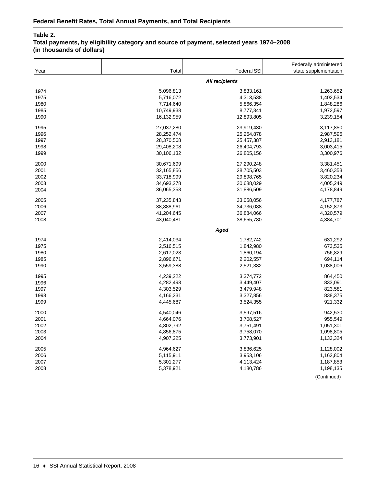# **Table 2.**

# **Total payments, by eligibility category and source of payment, selected years 1974–2008 (in thousands of dollars)**

| Year | Total      | <b>Federal SSI</b>    | Federally administered<br>state supplementation |
|------|------------|-----------------------|-------------------------------------------------|
|      |            | <b>All recipients</b> |                                                 |
| 1974 | 5,096,813  | 3,833,161             | 1,263,652                                       |
| 1975 | 5,716,072  | 4,313,538             | 1,402,534                                       |
| 1980 | 7,714,640  | 5,866,354             | 1,848,286                                       |
| 1985 | 10,749,938 | 8,777,341             | 1,972,597                                       |
| 1990 | 16,132,959 | 12,893,805            | 3,239,154                                       |
| 1995 | 27,037,280 | 23,919,430            | 3,117,850                                       |
| 1996 | 28,252,474 | 25,264,878            | 2,987,596                                       |
| 1997 | 28,370,568 | 25,457,387            | 2,913,181                                       |
| 1998 | 29,408,208 | 26,404,793            | 3,003,415                                       |
| 1999 | 30,106,132 | 26,805,156            | 3,300,976                                       |
| 2000 | 30,671,699 | 27,290,248            | 3,381,451                                       |
| 2001 | 32,165,856 | 28,705,503            | 3,460,353                                       |
| 2002 | 33,718,999 | 29,898,765            | 3,820,234                                       |
| 2003 | 34,693,278 | 30,688,029            | 4,005,249                                       |
| 2004 | 36,065,358 | 31,886,509            | 4,178,849                                       |
| 2005 | 37,235,843 | 33,058,056            | 4,177,787                                       |
| 2006 | 38,888,961 | 34,736,088            | 4,152,873                                       |
| 2007 | 41,204,645 | 36,884,066            | 4,320,579                                       |
| 2008 | 43,040,481 | 38,655,780            | 4,384,701                                       |
|      |            | Aged                  |                                                 |
| 1974 | 2,414,034  | 1,782,742             | 631,292                                         |
| 1975 | 2,516,515  | 1,842,980             | 673,535                                         |
| 1980 | 2,617,023  | 1,860,194             | 756,829                                         |
| 1985 | 2,896,671  | 2,202,557             | 694,114                                         |
| 1990 | 3,559,388  | 2,521,382             | 1,038,006                                       |
| 1995 | 4,239,222  | 3,374,772             | 864,450                                         |
| 1996 | 4,282,498  | 3,449,407             | 833,091                                         |
| 1997 | 4,303,529  | 3,479,948             | 823,581                                         |
| 1998 | 4,166,231  | 3,327,856             | 838,375                                         |
| 1999 | 4,445,687  | 3,524,355             | 921,332                                         |
| 2000 | 4,540,046  | 3,597,516             | 942,530                                         |
| 2001 | 4,664,076  | 3,708,527             | 955,549                                         |
| 2002 | 4,802,792  | 3,751,491             | 1,051,301                                       |
| 2003 | 4,856,875  | 3,758,070             | 1,098,805                                       |
| 2004 | 4,907,225  | 3,773,901             | 1,133,324                                       |
| 2005 | 4,964,627  | 3,836,625             | 1,128,002                                       |
| 2006 | 5,115,911  | 3,953,106             | 1,162,804                                       |
| 2007 | 5,301,277  | 4,113,424             | 1,187,853                                       |
| 2008 | 5,378,921  | 4,180,786             | 1,198,135                                       |
|      |            |                       | (Continued)                                     |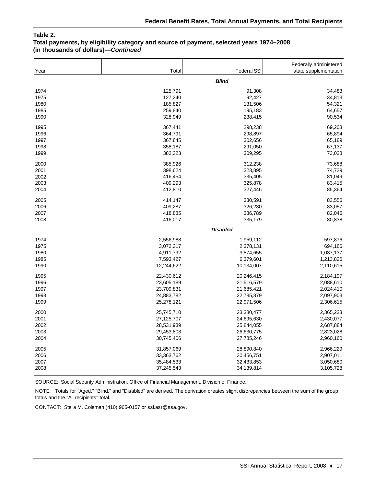## **Table 2.**

#### **Total payments, by eligibility category and source of payment, selected years 1974–2008 (in thousands of dollars)—***Continued*

| Year | Total      | <b>Federal SSI</b> | Federally administered<br>state supplementation |
|------|------------|--------------------|-------------------------------------------------|
|      |            | <b>Blind</b>       |                                                 |
| 1974 | 125,791    | 91,308             | 34,483                                          |
| 1975 | 127,240    | 92,427             | 34,813                                          |
| 1980 | 185,827    | 131,506            | 54,321                                          |
| 1985 | 259,840    | 195,183            | 64,657                                          |
| 1990 | 328,949    | 238,415            | 90,534                                          |
| 1995 | 367,441    | 298,238            | 69,203                                          |
| 1996 | 364,791    | 298,897            | 65,894                                          |
| 1997 | 367,845    | 302,656            | 65,189                                          |
| 1998 | 358,187    | 291,050            | 67,137                                          |
| 1999 | 382,323    | 309,295            | 73,028                                          |
| 2000 | 385,926    | 312,238            | 73,688                                          |
| 2001 | 398,624    | 323,895            | 74,729                                          |
| 2002 | 416,454    | 335,405            | 81,049                                          |
| 2003 | 409,293    | 325,878            | 83,415                                          |
| 2004 | 412,810    | 327,446            | 85,364                                          |
| 2005 | 414,147    | 330,591            | 83,556                                          |
| 2006 | 409,287    | 326,230            | 83,057                                          |
| 2007 | 418,835    | 336,789            | 82,046                                          |
| 2008 | 416,017    | 335,179            | 80,838                                          |
|      |            | <b>Disabled</b>    |                                                 |
| 1974 | 2,556,988  | 1,959,112          | 597,876                                         |
| 1975 | 3,072,317  | 2,378,131          | 694,186                                         |
| 1980 | 4,911,792  | 3,874,655          | 1,037,137                                       |
| 1985 | 7,593,427  | 6,379,601          | 1,213,826                                       |
| 1990 | 12,244,622 | 10,134,007         | 2,110,615                                       |
| 1995 | 22,430,612 | 20,246,415         | 2,184,197                                       |
| 1996 | 23,605,189 | 21,516,579         | 2,088,610                                       |
| 1997 | 23,709,831 | 21,685,421         | 2,024,410                                       |
| 1998 | 24,883,782 | 22,785,879         | 2,097,903                                       |
| 1999 | 25,278,121 | 22,971,506         | 2,306,615                                       |
| 2000 | 25,745,710 | 23,380,477         | 2,365,233                                       |
| 2001 | 27,125,707 | 24,695,630         | 2,430,077                                       |
| 2002 | 28,531,939 | 25,844,055         | 2,687,884                                       |
| 2003 | 29,453,803 | 26,630,775         | 2,823,028                                       |
| 2004 | 30,745,406 | 27,785,246         | 2,960,160                                       |
| 2005 | 31,857,069 | 28,890,840         | 2,966,229                                       |
| 2006 | 33,363,762 | 30,456,751         | 2,907,011                                       |
| 2007 | 35,484,533 | 32,433,853         | 3,050,680                                       |
| 2008 | 37,245,543 | 34,139,814         | 3,105,728                                       |

SOURCE: Social Security Administration, Office of Financial Management, Division of Finance.

NOTE: Totals for "Aged," "Blind," and "Disabled" are derived. The derivation creates slight discrepancies between the sum of the group totals and the "All recipients" total.

CONTACT: Stella M. Coleman (410) 965-0157 or ssi.asr@ssa.gov.